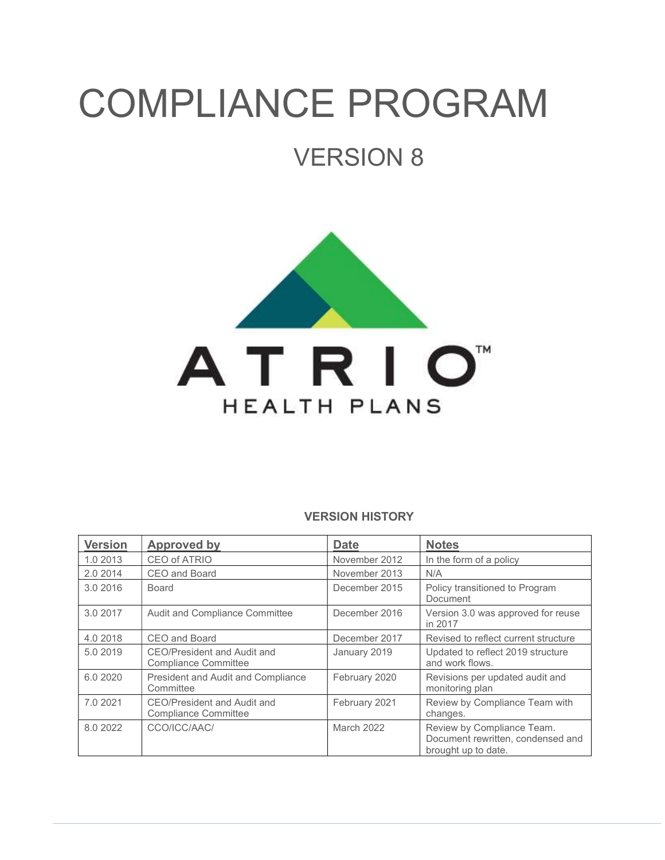# COMPLIANCE PROGRAM

## VERSION 8



### VERSION HISTORY

| <b>Version</b> | <b>Approved by</b>                                         | <b>Date</b>   | <b>Notes</b>                                                                           |
|----------------|------------------------------------------------------------|---------------|----------------------------------------------------------------------------------------|
| 1.0 2013       | CEO of ATRIO                                               | November 2012 | In the form of a policy                                                                |
| 2.0 2014       | CEO and Board                                              | November 2013 | N/A                                                                                    |
| 3.0 2016       | <b>Board</b>                                               | December 2015 | Policy transitioned to Program<br>Document                                             |
| 3.0 2017       | Audit and Compliance Committee                             | December 2016 | Version 3.0 was approved for reuse<br>in 2017                                          |
| 4.0 2018       | CEO and Board                                              | December 2017 | Revised to reflect current structure                                                   |
| 5.0 2019       | CEO/President and Audit and<br><b>Compliance Committee</b> | January 2019  | Updated to reflect 2019 structure<br>and work flows.                                   |
| 6.0 2020       | President and Audit and Compliance<br>Committee            | February 2020 | Revisions per updated audit and<br>monitoring plan                                     |
| 7.0 2021       | CEO/President and Audit and<br><b>Compliance Committee</b> | February 2021 | Review by Compliance Team with<br>changes.                                             |
| 8.0 2022       | CCO/ICC/AAC/                                               | March 2022    | Review by Compliance Team.<br>Document rewritten, condensed and<br>brought up to date. |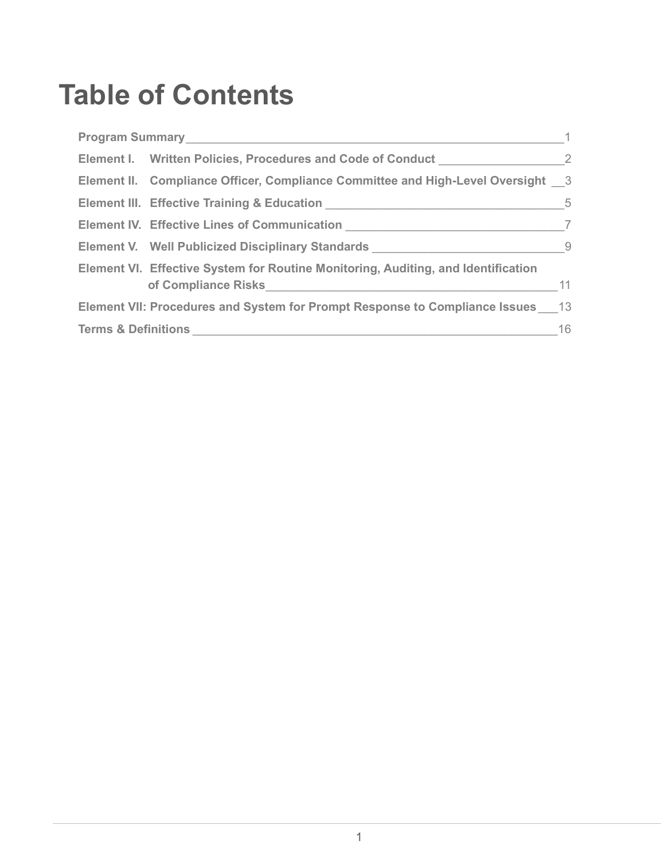## Table of Contents

|                                      | Program Summary<br><u>Frogram Summary</u>                                                                      |    |
|--------------------------------------|----------------------------------------------------------------------------------------------------------------|----|
|                                      | Element I. Written Policies, Procedures and Code of Conduct 2                                                  |    |
|                                      | Element II. Compliance Officer, Compliance Committee and High-Level Oversight 3                                |    |
|                                      |                                                                                                                |    |
|                                      |                                                                                                                |    |
|                                      | Element V. Well Publicized Disciplinary Standards Manuscriptus Manuscriptus Manuscriptus Manuscriptus Manuscri |    |
|                                      | Element VI. Effective System for Routine Monitoring, Auditing, and Identification                              |    |
|                                      |                                                                                                                | 11 |
|                                      | Element VII: Procedures and System for Prompt Response to Compliance Issues 13                                 |    |
| 16<br><b>Terms &amp; Definitions</b> |                                                                                                                |    |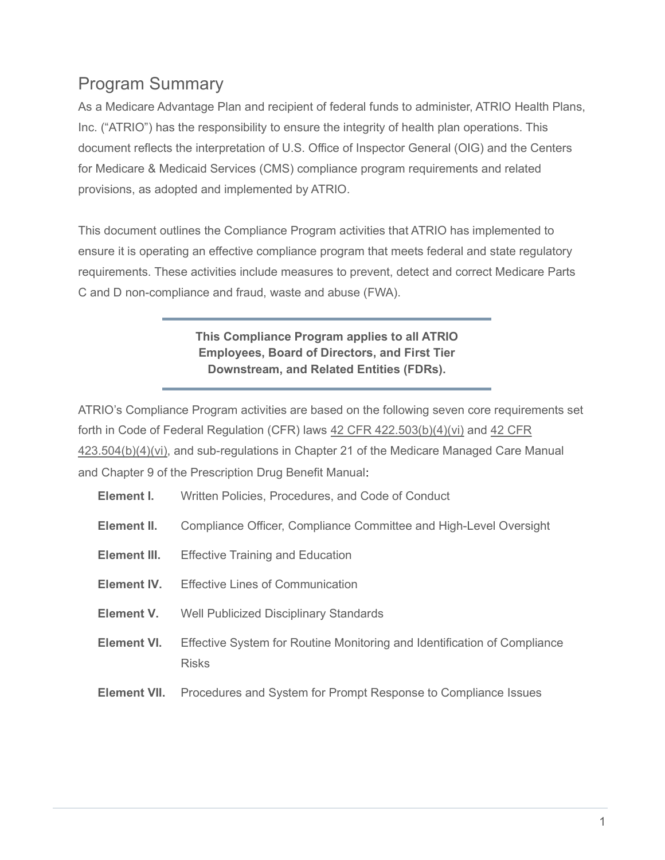## Program Summary

As a Medicare Advantage Plan and recipient of federal funds to administer, ATRIO Health Plans, Inc. ("ATRIO") has the responsibility to ensure the integrity of health plan operations. This document reflects the interpretation of U.S. Office of Inspector General (OIG) and the Centers for Medicare & Medicaid Services (CMS) compliance program requirements and related provisions, as adopted and implemented by ATRIO.

This document outlines the Compliance Program activities that ATRIO has implemented to ensure it is operating an effective compliance program that meets federal and state regulatory requirements. These activities include measures to prevent, detect and correct Medicare Parts C and D non-compliance and fraud, waste and abuse (FWA).

## This Compliance Program applies to all ATRIO Employees, Board of Directors, and First Tier Downstream, and Related Entities (FDRs).

ATRIO's Compliance Program activities are based on the following seven core requirements set forth in Code of Federal Regulation (CFR) laws 42 CFR 422.503(b)(4)(vi) and 42 CFR 423.504(b)(4)(vi), and sub-regulations in Chapter 21 of the Medicare Managed Care Manual and Chapter 9 of the Prescription Drug Benefit Manual:

|  | Element I. |  |  | Written Policies, Procedures, and Code of Conduct |  |  |  |
|--|------------|--|--|---------------------------------------------------|--|--|--|
|--|------------|--|--|---------------------------------------------------|--|--|--|

- Element II. Compliance Officer, Compliance Committee and High-Level Oversight
- **Element III.** Effective Training and Education
- Element IV. Effective Lines of Communication
- **Element V.** Well Publicized Disciplinary Standards
- Element VI. Effective System for Routine Monitoring and Identification of Compliance Risks
- Element VII. Procedures and System for Prompt Response to Compliance Issues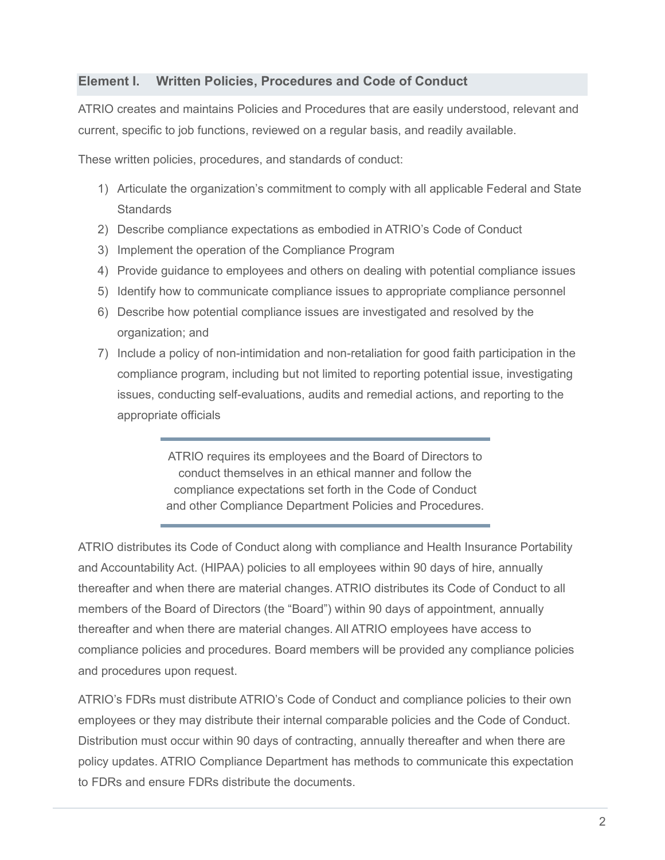## Element I. Written Policies, Procedures and Code of Conduct

ATRIO creates and maintains Policies and Procedures that are easily understood, relevant and current, specific to job functions, reviewed on a regular basis, and readily available.

These written policies, procedures, and standards of conduct:

- 1) Articulate the organization's commitment to comply with all applicable Federal and State **Standards**
- 2) Describe compliance expectations as embodied in ATRIO's Code of Conduct
- 3) Implement the operation of the Compliance Program
- 4) Provide guidance to employees and others on dealing with potential compliance issues
- 5) Identify how to communicate compliance issues to appropriate compliance personnel
- 6) Describe how potential compliance issues are investigated and resolved by the organization; and
- 7) Include a policy of non-intimidation and non-retaliation for good faith participation in the compliance program, including but not limited to reporting potential issue, investigating issues, conducting self-evaluations, audits and remedial actions, and reporting to the appropriate officials

ATRIO requires its employees and the Board of Directors to conduct themselves in an ethical manner and follow the compliance expectations set forth in the Code of Conduct and other Compliance Department Policies and Procedures.

ATRIO distributes its Code of Conduct along with compliance and Health Insurance Portability and Accountability Act. (HIPAA) policies to all employees within 90 days of hire, annually thereafter and when there are material changes. ATRIO distributes its Code of Conduct to all members of the Board of Directors (the "Board") within 90 days of appointment, annually thereafter and when there are material changes. All ATRIO employees have access to compliance policies and procedures. Board members will be provided any compliance policies and procedures upon request.

ATRIO's FDRs must distribute ATRIO's Code of Conduct and compliance policies to their own employees or they may distribute their internal comparable policies and the Code of Conduct. Distribution must occur within 90 days of contracting, annually thereafter and when there are policy updates. ATRIO Compliance Department has methods to communicate this expectation to FDRs and ensure FDRs distribute the documents.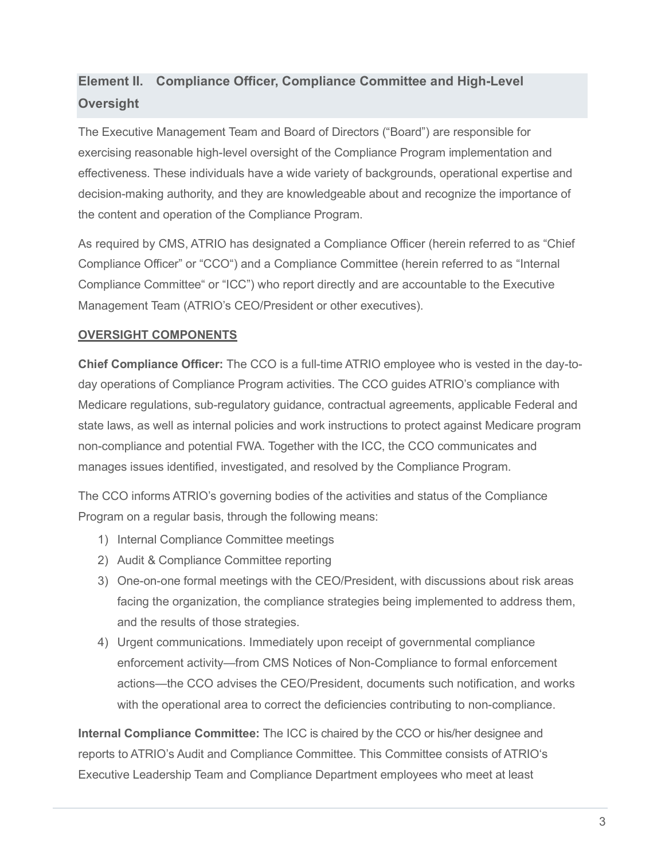## Element II. Compliance Officer, Compliance Committee and High-Level **Oversight**

The Executive Management Team and Board of Directors ("Board") are responsible for exercising reasonable high-level oversight of the Compliance Program implementation and effectiveness. These individuals have a wide variety of backgrounds, operational expertise and decision-making authority, and they are knowledgeable about and recognize the importance of the content and operation of the Compliance Program.

As required by CMS, ATRIO has designated a Compliance Officer (herein referred to as "Chief Compliance Officer" or "CCO") and a Compliance Committee (herein referred to as "Internal Compliance Committee" or "ICC") who report directly and are accountable to the Executive Management Team (ATRIO's CEO/President or other executives).

## OVERSIGHT COMPONENTS

Chief Compliance Officer: The CCO is a full-time ATRIO employee who is vested in the day-today operations of Compliance Program activities. The CCO guides ATRIO's compliance with Medicare regulations, sub-regulatory guidance, contractual agreements, applicable Federal and state laws, as well as internal policies and work instructions to protect against Medicare program non-compliance and potential FWA. Together with the ICC, the CCO communicates and manages issues identified, investigated, and resolved by the Compliance Program.

The CCO informs ATRIO's governing bodies of the activities and status of the Compliance Program on a regular basis, through the following means:

- 1) Internal Compliance Committee meetings
- 2) Audit & Compliance Committee reporting
- 3) One-on-one formal meetings with the CEO/President, with discussions about risk areas facing the organization, the compliance strategies being implemented to address them, and the results of those strategies.
- 4) Urgent communications. Immediately upon receipt of governmental compliance enforcement activity—from CMS Notices of Non-Compliance to formal enforcement actions—the CCO advises the CEO/President, documents such notification, and works with the operational area to correct the deficiencies contributing to non-compliance.

Internal Compliance Committee: The ICC is chaired by the CCO or his/her designee and reports to ATRIO's Audit and Compliance Committee. This Committee consists of ATRIO's Executive Leadership Team and Compliance Department employees who meet at least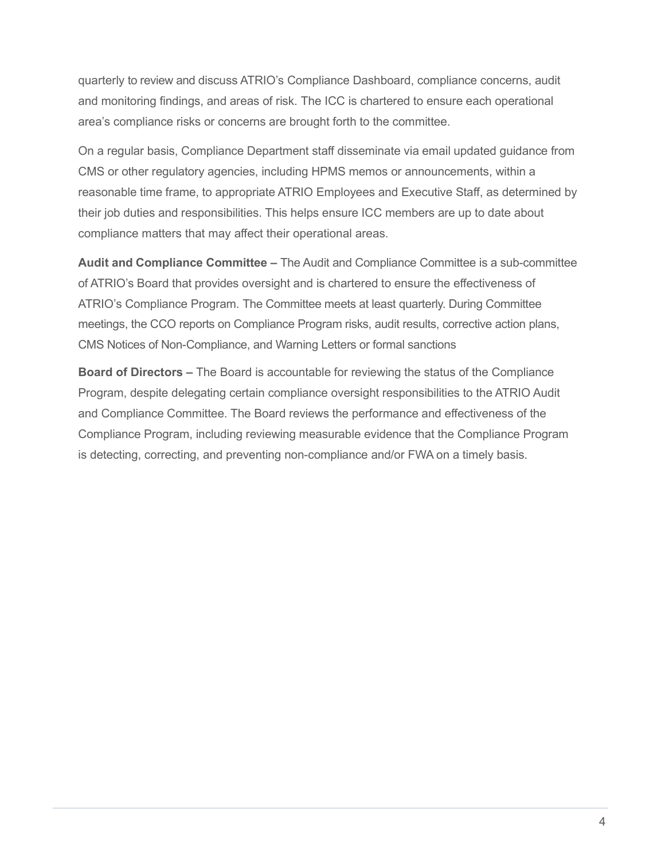quarterly to review and discuss ATRIO's Compliance Dashboard, compliance concerns, audit and monitoring findings, and areas of risk. The ICC is chartered to ensure each operational area's compliance risks or concerns are brought forth to the committee.

On a regular basis, Compliance Department staff disseminate via email updated guidance from CMS or other regulatory agencies, including HPMS memos or announcements, within a reasonable time frame, to appropriate ATRIO Employees and Executive Staff, as determined by their job duties and responsibilities. This helps ensure ICC members are up to date about compliance matters that may affect their operational areas.

Audit and Compliance Committee – The Audit and Compliance Committee is a sub-committee of ATRIO's Board that provides oversight and is chartered to ensure the effectiveness of ATRIO's Compliance Program. The Committee meets at least quarterly. During Committee meetings, the CCO reports on Compliance Program risks, audit results, corrective action plans, CMS Notices of Non-Compliance, and Warning Letters or formal sanctions

Board of Directors – The Board is accountable for reviewing the status of the Compliance Program, despite delegating certain compliance oversight responsibilities to the ATRIO Audit and Compliance Committee. The Board reviews the performance and effectiveness of the Compliance Program, including reviewing measurable evidence that the Compliance Program is detecting, correcting, and preventing non-compliance and/or FWA on a timely basis.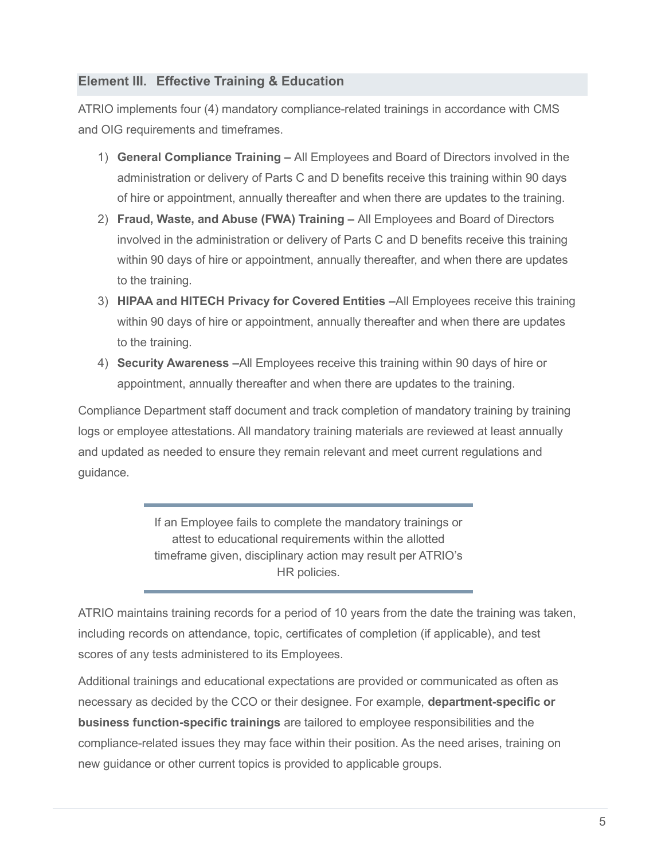## Element III. Effective Training & Education

ATRIO implements four (4) mandatory compliance-related trainings in accordance with CMS and OIG requirements and timeframes.

- 1) General Compliance Training All Employees and Board of Directors involved in the administration or delivery of Parts C and D benefits receive this training within 90 days of hire or appointment, annually thereafter and when there are updates to the training.
- 2) Fraud, Waste, and Abuse (FWA) Training All Employees and Board of Directors involved in the administration or delivery of Parts C and D benefits receive this training within 90 days of hire or appointment, annually thereafter, and when there are updates to the training.
- 3) HIPAA and HITECH Privacy for Covered Entities –All Employees receive this training within 90 days of hire or appointment, annually thereafter and when there are updates to the training.
- 4) Security Awareness –All Employees receive this training within 90 days of hire or appointment, annually thereafter and when there are updates to the training.

Compliance Department staff document and track completion of mandatory training by training logs or employee attestations. All mandatory training materials are reviewed at least annually and updated as needed to ensure they remain relevant and meet current regulations and guidance.

> If an Employee fails to complete the mandatory trainings or attest to educational requirements within the allotted timeframe given, disciplinary action may result per ATRIO's HR policies.

ATRIO maintains training records for a period of 10 years from the date the training was taken, including records on attendance, topic, certificates of completion (if applicable), and test scores of any tests administered to its Employees.

Additional trainings and educational expectations are provided or communicated as often as necessary as decided by the CCO or their designee. For example, department-specific or business function-specific trainings are tailored to employee responsibilities and the compliance-related issues they may face within their position. As the need arises, training on new guidance or other current topics is provided to applicable groups.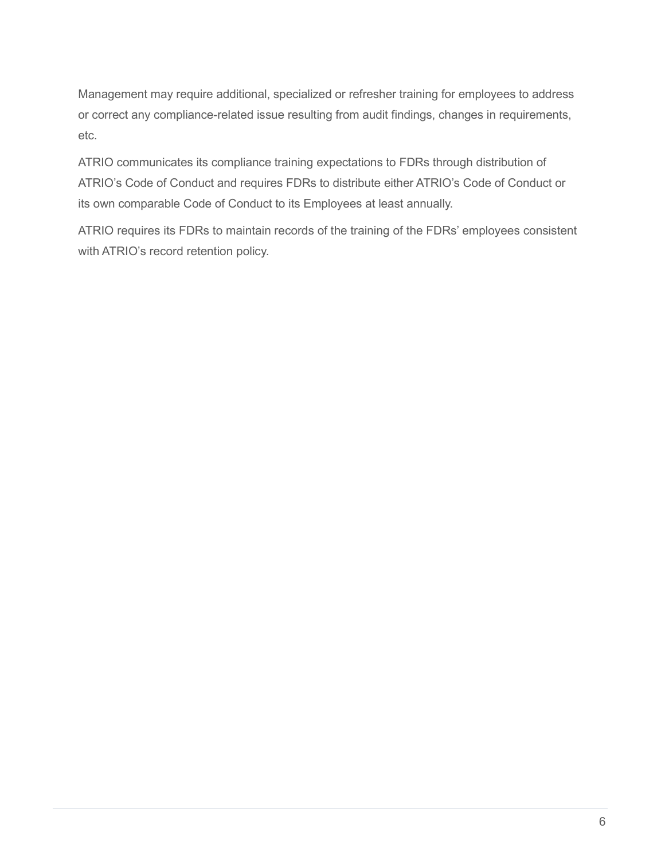Management may require additional, specialized or refresher training for employees to address or correct any compliance-related issue resulting from audit findings, changes in requirements, etc.

ATRIO communicates its compliance training expectations to FDRs through distribution of ATRIO's Code of Conduct and requires FDRs to distribute either ATRIO's Code of Conduct or its own comparable Code of Conduct to its Employees at least annually.

ATRIO requires its FDRs to maintain records of the training of the FDRs' employees consistent with ATRIO's record retention policy.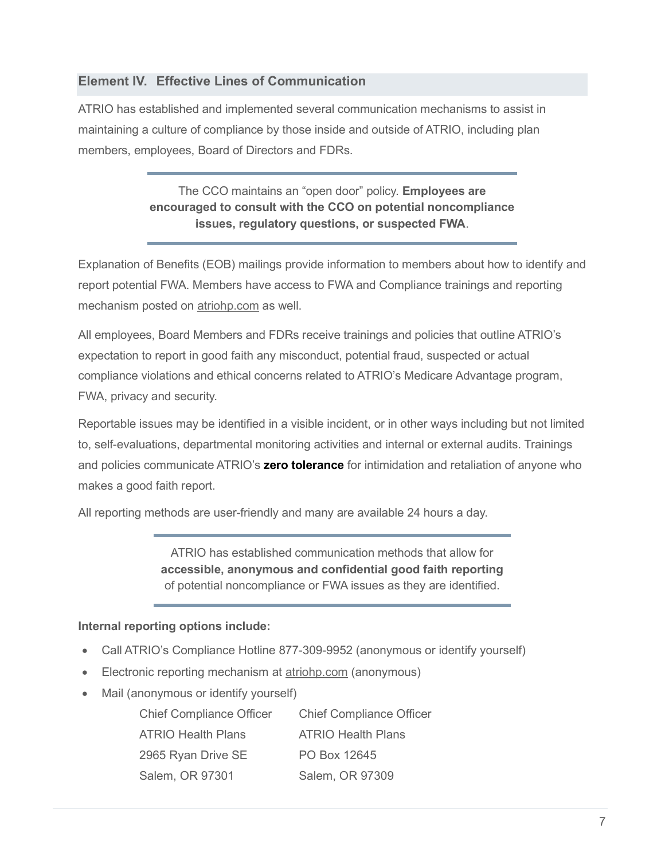## Element IV. Effective Lines of Communication

ATRIO has established and implemented several communication mechanisms to assist in maintaining a culture of compliance by those inside and outside of ATRIO, including plan members, employees, Board of Directors and FDRs.

> The CCO maintains an "open door" policy. **Employees are** encouraged to consult with the CCO on potential noncompliance issues, regulatory questions, or suspected FWA.

Explanation of Benefits (EOB) mailings provide information to members about how to identify and report potential FWA. Members have access to FWA and Compliance trainings and reporting mechanism posted on atriohp.com as well.

All employees, Board Members and FDRs receive trainings and policies that outline ATRIO's expectation to report in good faith any misconduct, potential fraud, suspected or actual compliance violations and ethical concerns related to ATRIO's Medicare Advantage program, FWA, privacy and security.

Reportable issues may be identified in a visible incident, or in other ways including but not limited to, self-evaluations, departmental monitoring activities and internal or external audits. Trainings and policies communicate ATRIO's **zero tolerance** for intimidation and retaliation of anyone who makes a good faith report.

All reporting methods are user-friendly and many are available 24 hours a day.

ATRIO has established communication methods that allow for accessible, anonymous and confidential good faith reporting of potential noncompliance or FWA issues as they are identified.

#### Internal reporting options include:

- Call ATRIO's Compliance Hotline 877-309-9952 (anonymous or identify yourself)
- Electronic reporting mechanism at atriohp.com (anonymous)
- Mail (anonymous or identify yourself)

Chief Compliance Officer Chief Compliance Officer ATRIO Health Plans **ATRIO** Health Plans 2965 Ryan Drive SE PO Box 12645 Salem, OR 97301 Salem, OR 97309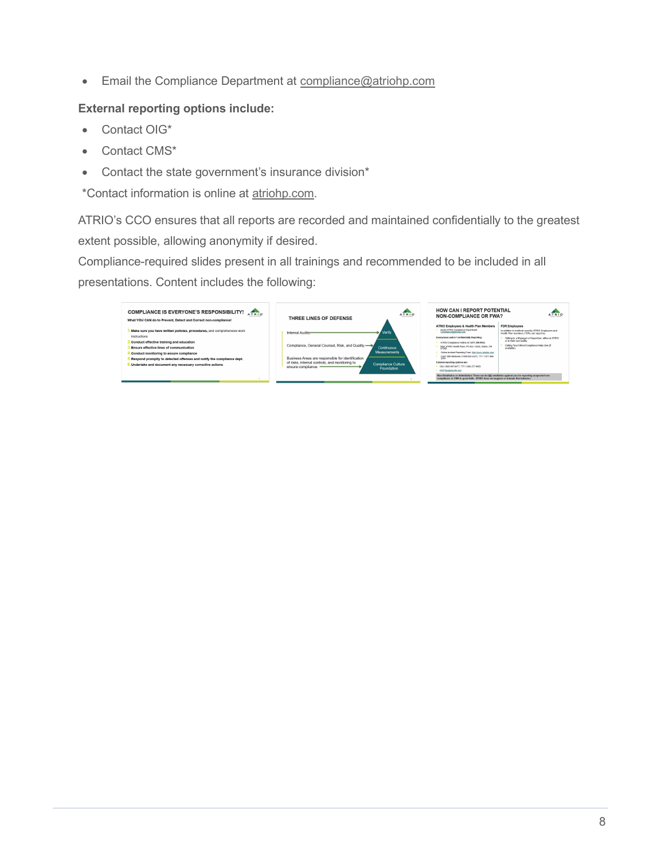**Email the Compliance Department at compliance@atriohp.com** 

## External reporting options include:

- Contact OIG\*
- Contact CMS\*
- Contact the state government's insurance division\*

\*Contact information is online at atriohp.com.

ATRIO's CCO ensures that all reports are recorded and maintained confidentially to the greatest extent possible, allowing anonymity if desired.

Compliance-required slides present in all trainings and recommended to be included in all presentations. Content includes the following:

| <b>COMPLIANCE IS EVERYONE'S RESPONSIBILITY!</b><br><b>ALC</b><br>ATRIO<br>What YOU CAN do to Prevent, Detect and Correct non-compliance!                                                                                                                                                                                                                       | <b>ATRIO</b><br>THREE LINES OF DEFENSE                                                                                                                                                                                                                                             | HOW CAN I REPORT POTENTIAL<br><b>ATRIO</b><br><b>NON-COMPLIANCE OR FWA?</b>                                                                                                                                                                                                                                                                                                                                                                                                                                                                                                                                                                                                                                                 |
|----------------------------------------------------------------------------------------------------------------------------------------------------------------------------------------------------------------------------------------------------------------------------------------------------------------------------------------------------------------|------------------------------------------------------------------------------------------------------------------------------------------------------------------------------------------------------------------------------------------------------------------------------------|-----------------------------------------------------------------------------------------------------------------------------------------------------------------------------------------------------------------------------------------------------------------------------------------------------------------------------------------------------------------------------------------------------------------------------------------------------------------------------------------------------------------------------------------------------------------------------------------------------------------------------------------------------------------------------------------------------------------------------|
| Make sure you have written policies, procedures, and comprehensive work.<br>instructions<br>Conduct effective training and education<br>Ensure effective lines of communication<br>Conduct monitoring to assure compliance<br>Respond promptly to detected offenses and notify the compliance dept.<br>Undertake and document any necessary corrective actions | Verify<br>Internal Audits<br>Compliance, General Counsel, Risk, and Quality:<br>Continuous<br>Measurements<br>Business Areas are responsible for identification<br>of risks, internal controls, and monitoring to<br><b>Compliance Culture</b><br>ensure compliance:<br>Foundation | ATRIO Employees & Health Plan Members<br><b>FDR Employees</b><br>Email ATRIO Compliance Department.<br>In addition to methods used by ATRIO Employees and<br>Health Plan members. FDRs can report by:<br>Anonymous and/or Confidentially Reporting:<br>Talking to a Manager or Supervisor, either at ATRIO<br>or in their own facility.<br>ATRIO Complance Holline at 1-877-309-9952.<br>Calling Your Ethica/Compliance Help Line (If<br>Mail ATRIO Health Plans, PO Box 12645, Salem, OR<br>available)<br>Online Incident Reported Form http://www.atricha.com<br>Call 1-800-Medicare (1-800-633-4227), TTY 1-877-486-<br>External reporting options are:<br>OIG 1-803-667-8477, TTV 1-803-277-4850<br>HHSTigs@alq.hhs.gov |
|                                                                                                                                                                                                                                                                                                                                                                |                                                                                                                                                                                                                                                                                    | Non-Retaliation or latimidation: There can be NO retaliation against you for reporting suspected non-<br>compliance or FWA in good faith. ATRIO does not support or tolerate this behavior.                                                                                                                                                                                                                                                                                                                                                                                                                                                                                                                                 |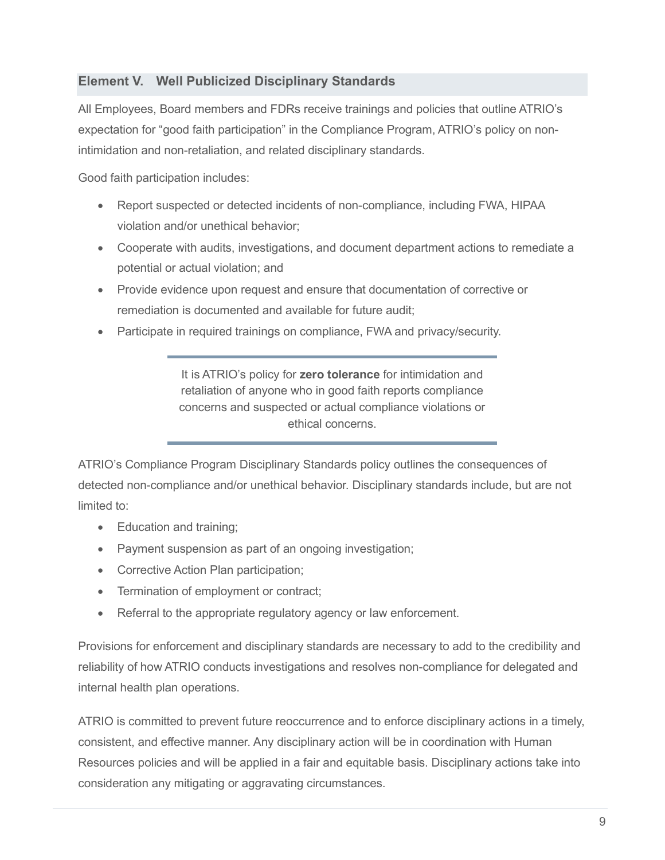## Element V. Well Publicized Disciplinary Standards

All Employees, Board members and FDRs receive trainings and policies that outline ATRIO's expectation for "good faith participation" in the Compliance Program, ATRIO's policy on nonintimidation and non-retaliation, and related disciplinary standards.

Good faith participation includes:

- Report suspected or detected incidents of non-compliance, including FWA, HIPAA violation and/or unethical behavior;
- Cooperate with audits, investigations, and document department actions to remediate a potential or actual violation; and
- Provide evidence upon request and ensure that documentation of corrective or remediation is documented and available for future audit;
- Participate in required trainings on compliance, FWA and privacy/security.

It is ATRIO's policy for zero tolerance for intimidation and retaliation of anyone who in good faith reports compliance concerns and suspected or actual compliance violations or ethical concerns.

ATRIO's Compliance Program Disciplinary Standards policy outlines the consequences of detected non-compliance and/or unethical behavior. Disciplinary standards include, but are not limited to:

- Education and training;
- Payment suspension as part of an ongoing investigation;
- Corrective Action Plan participation;
- Termination of employment or contract;
- Referral to the appropriate regulatory agency or law enforcement.

Provisions for enforcement and disciplinary standards are necessary to add to the credibility and reliability of how ATRIO conducts investigations and resolves non-compliance for delegated and internal health plan operations.

ATRIO is committed to prevent future reoccurrence and to enforce disciplinary actions in a timely, consistent, and effective manner. Any disciplinary action will be in coordination with Human Resources policies and will be applied in a fair and equitable basis. Disciplinary actions take into consideration any mitigating or aggravating circumstances.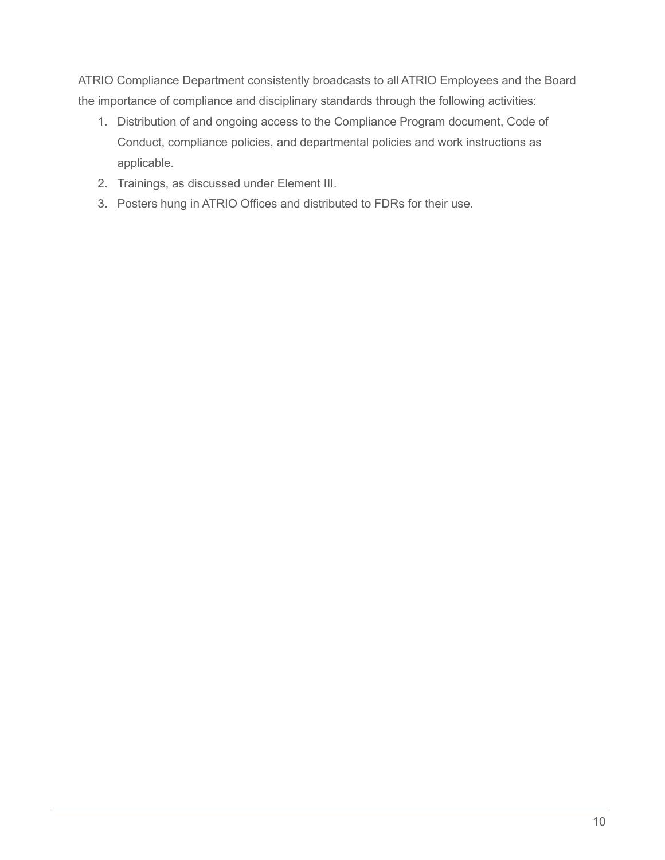ATRIO Compliance Department consistently broadcasts to all ATRIO Employees and the Board the importance of compliance and disciplinary standards through the following activities:

- 1. Distribution of and ongoing access to the Compliance Program document, Code of Conduct, compliance policies, and departmental policies and work instructions as applicable.
- 2. Trainings, as discussed under Element III.
- 3. Posters hung in ATRIO Offices and distributed to FDRs for their use.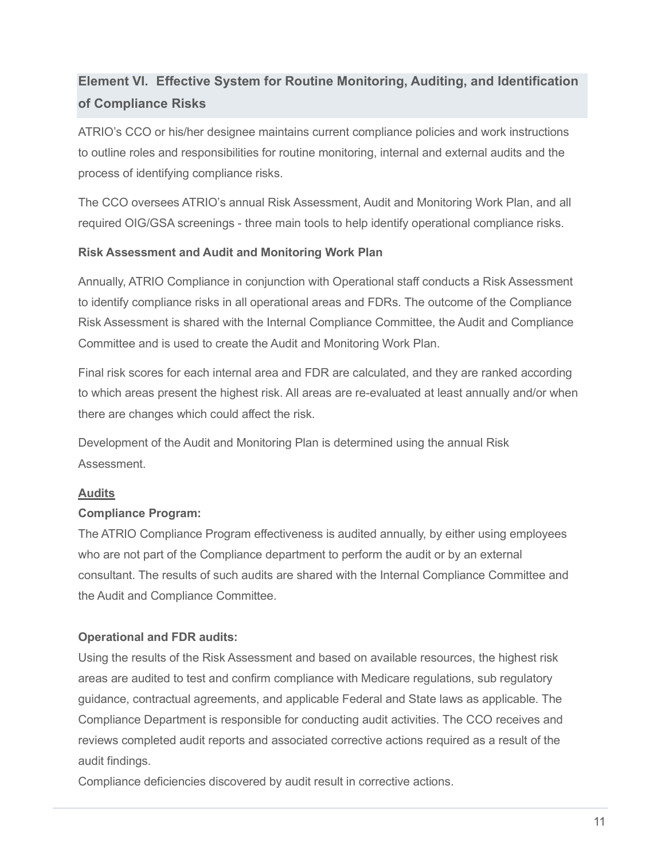## Element VI. Effective System for Routine Monitoring, Auditing, and Identification of Compliance Risks

ATRIO's CCO or his/her designee maintains current compliance policies and work instructions to outline roles and responsibilities for routine monitoring, internal and external audits and the process of identifying compliance risks.

The CCO oversees ATRIO's annual Risk Assessment, Audit and Monitoring Work Plan, and all required OIG/GSA screenings - three main tools to help identify operational compliance risks.

## Risk Assessment and Audit and Monitoring Work Plan

Annually, ATRIO Compliance in conjunction with Operational staff conducts a Risk Assessment to identify compliance risks in all operational areas and FDRs. The outcome of the Compliance Risk Assessment is shared with the Internal Compliance Committee, the Audit and Compliance Committee and is used to create the Audit and Monitoring Work Plan.

Final risk scores for each internal area and FDR are calculated, and they are ranked according to which areas present the highest risk. All areas are re-evaluated at least annually and/or when there are changes which could affect the risk.

Development of the Audit and Monitoring Plan is determined using the annual Risk Assessment.

## Audits

## Compliance Program:

The ATRIO Compliance Program effectiveness is audited annually, by either using employees who are not part of the Compliance department to perform the audit or by an external consultant. The results of such audits are shared with the Internal Compliance Committee and the Audit and Compliance Committee.

## Operational and FDR audits:

Using the results of the Risk Assessment and based on available resources, the highest risk areas are audited to test and confirm compliance with Medicare regulations, sub regulatory guidance, contractual agreements, and applicable Federal and State laws as applicable. The Compliance Department is responsible for conducting audit activities. The CCO receives and reviews completed audit reports and associated corrective actions required as a result of the audit findings.

Compliance deficiencies discovered by audit result in corrective actions.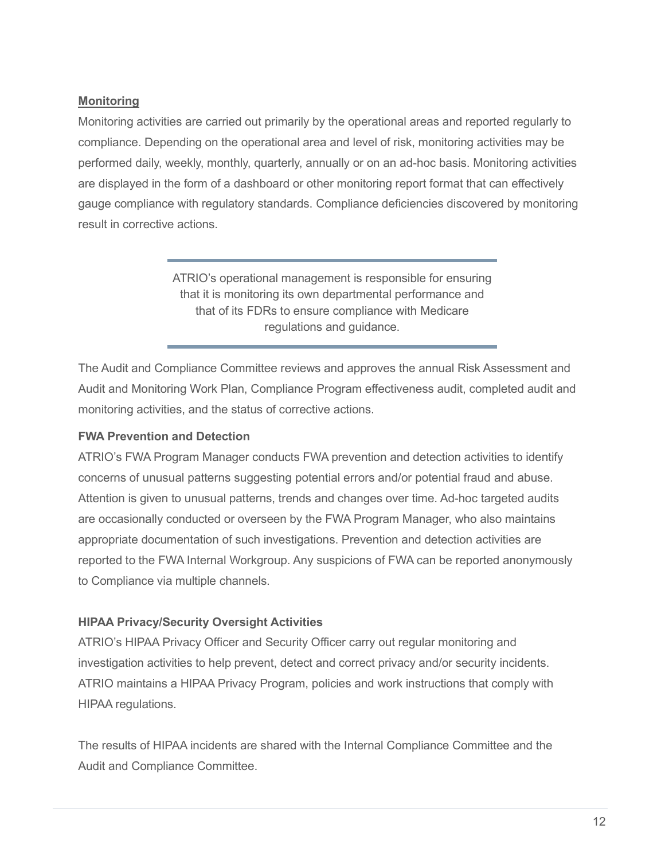## **Monitoring**

Monitoring activities are carried out primarily by the operational areas and reported regularly to compliance. Depending on the operational area and level of risk, monitoring activities may be performed daily, weekly, monthly, quarterly, annually or on an ad-hoc basis. Monitoring activities are displayed in the form of a dashboard or other monitoring report format that can effectively gauge compliance with regulatory standards. Compliance deficiencies discovered by monitoring result in corrective actions.

> ATRIO's operational management is responsible for ensuring that it is monitoring its own departmental performance and that of its FDRs to ensure compliance with Medicare regulations and guidance.

The Audit and Compliance Committee reviews and approves the annual Risk Assessment and Audit and Monitoring Work Plan, Compliance Program effectiveness audit, completed audit and monitoring activities, and the status of corrective actions.

## FWA Prevention and Detection

ATRIO's FWA Program Manager conducts FWA prevention and detection activities to identify concerns of unusual patterns suggesting potential errors and/or potential fraud and abuse. Attention is given to unusual patterns, trends and changes over time. Ad-hoc targeted audits are occasionally conducted or overseen by the FWA Program Manager, who also maintains appropriate documentation of such investigations. Prevention and detection activities are reported to the FWA Internal Workgroup. Any suspicions of FWA can be reported anonymously to Compliance via multiple channels.

### HIPAA Privacy/Security Oversight Activities

ATRIO's HIPAA Privacy Officer and Security Officer carry out regular monitoring and investigation activities to help prevent, detect and correct privacy and/or security incidents. ATRIO maintains a HIPAA Privacy Program, policies and work instructions that comply with HIPAA regulations.

The results of HIPAA incidents are shared with the Internal Compliance Committee and the Audit and Compliance Committee.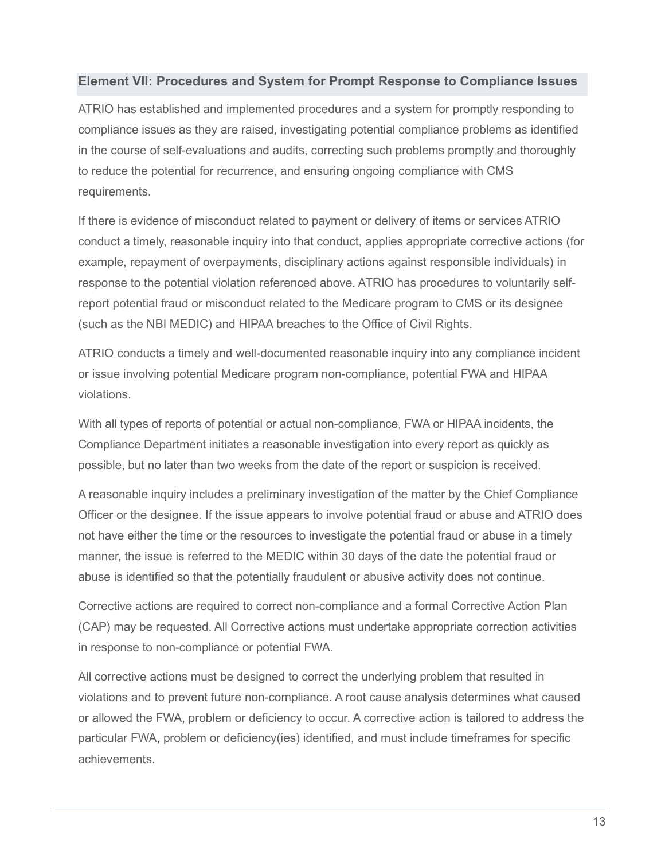## Element VII: Procedures and System for Prompt Response to Compliance Issues

ATRIO has established and implemented procedures and a system for promptly responding to compliance issues as they are raised, investigating potential compliance problems as identified in the course of self-evaluations and audits, correcting such problems promptly and thoroughly to reduce the potential for recurrence, and ensuring ongoing compliance with CMS requirements.

If there is evidence of misconduct related to payment or delivery of items or services ATRIO conduct a timely, reasonable inquiry into that conduct, applies appropriate corrective actions (for example, repayment of overpayments, disciplinary actions against responsible individuals) in response to the potential violation referenced above. ATRIO has procedures to voluntarily selfreport potential fraud or misconduct related to the Medicare program to CMS or its designee (such as the NBI MEDIC) and HIPAA breaches to the Office of Civil Rights.

ATRIO conducts a timely and well-documented reasonable inquiry into any compliance incident or issue involving potential Medicare program non-compliance, potential FWA and HIPAA violations.

With all types of reports of potential or actual non-compliance, FWA or HIPAA incidents, the Compliance Department initiates a reasonable investigation into every report as quickly as possible, but no later than two weeks from the date of the report or suspicion is received.

A reasonable inquiry includes a preliminary investigation of the matter by the Chief Compliance Officer or the designee. If the issue appears to involve potential fraud or abuse and ATRIO does not have either the time or the resources to investigate the potential fraud or abuse in a timely manner, the issue is referred to the MEDIC within 30 days of the date the potential fraud or abuse is identified so that the potentially fraudulent or abusive activity does not continue.

Corrective actions are required to correct non-compliance and a formal Corrective Action Plan (CAP) may be requested. All Corrective actions must undertake appropriate correction activities in response to non-compliance or potential FWA.

All corrective actions must be designed to correct the underlying problem that resulted in violations and to prevent future non-compliance. A root cause analysis determines what caused or allowed the FWA, problem or deficiency to occur. A corrective action is tailored to address the particular FWA, problem or deficiency(ies) identified, and must include timeframes for specific achievements.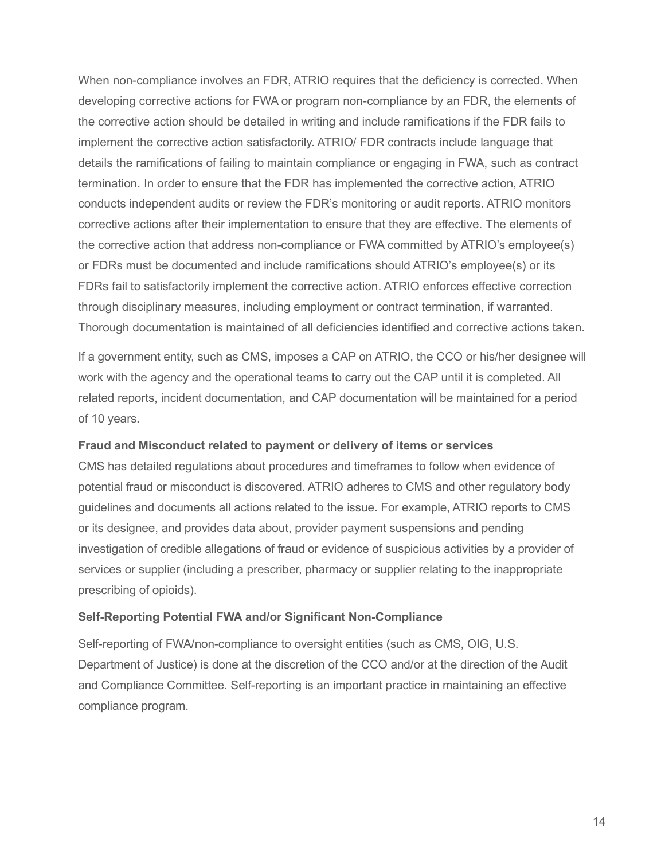When non-compliance involves an FDR, ATRIO requires that the deficiency is corrected. When developing corrective actions for FWA or program non-compliance by an FDR, the elements of the corrective action should be detailed in writing and include ramifications if the FDR fails to implement the corrective action satisfactorily. ATRIO/ FDR contracts include language that details the ramifications of failing to maintain compliance or engaging in FWA, such as contract termination. In order to ensure that the FDR has implemented the corrective action, ATRIO conducts independent audits or review the FDR's monitoring or audit reports. ATRIO monitors corrective actions after their implementation to ensure that they are effective. The elements of the corrective action that address non-compliance or FWA committed by ATRIO's employee(s) or FDRs must be documented and include ramifications should ATRIO's employee(s) or its FDRs fail to satisfactorily implement the corrective action. ATRIO enforces effective correction through disciplinary measures, including employment or contract termination, if warranted. Thorough documentation is maintained of all deficiencies identified and corrective actions taken.

If a government entity, such as CMS, imposes a CAP on ATRIO, the CCO or his/her designee will work with the agency and the operational teams to carry out the CAP until it is completed. All related reports, incident documentation, and CAP documentation will be maintained for a period of 10 years.

#### Fraud and Misconduct related to payment or delivery of items or services

CMS has detailed regulations about procedures and timeframes to follow when evidence of potential fraud or misconduct is discovered. ATRIO adheres to CMS and other regulatory body guidelines and documents all actions related to the issue. For example, ATRIO reports to CMS or its designee, and provides data about, provider payment suspensions and pending investigation of credible allegations of fraud or evidence of suspicious activities by a provider of services or supplier (including a prescriber, pharmacy or supplier relating to the inappropriate prescribing of opioids).

#### Self-Reporting Potential FWA and/or Significant Non-Compliance

Self-reporting of FWA/non-compliance to oversight entities (such as CMS, OIG, U.S. Department of Justice) is done at the discretion of the CCO and/or at the direction of the Audit and Compliance Committee. Self-reporting is an important practice in maintaining an effective compliance program.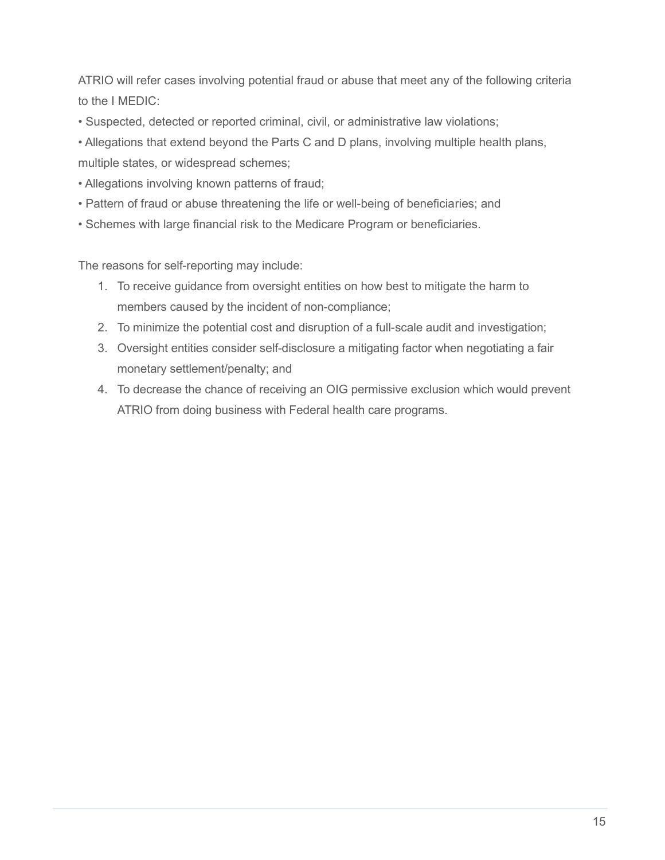ATRIO will refer cases involving potential fraud or abuse that meet any of the following criteria to the I MEDIC:

• Suspected, detected or reported criminal, civil, or administrative law violations;

• Allegations that extend beyond the Parts C and D plans, involving multiple health plans, multiple states, or widespread schemes;

- Allegations involving known patterns of fraud;
- Pattern of fraud or abuse threatening the life or well-being of beneficiaries; and
- Schemes with large financial risk to the Medicare Program or beneficiaries.

The reasons for self-reporting may include:

- 1. To receive guidance from oversight entities on how best to mitigate the harm to members caused by the incident of non-compliance;
- 2. To minimize the potential cost and disruption of a full-scale audit and investigation;
- 3. Oversight entities consider self-disclosure a mitigating factor when negotiating a fair monetary settlement/penalty; and
- 4. To decrease the chance of receiving an OIG permissive exclusion which would prevent ATRIO from doing business with Federal health care programs.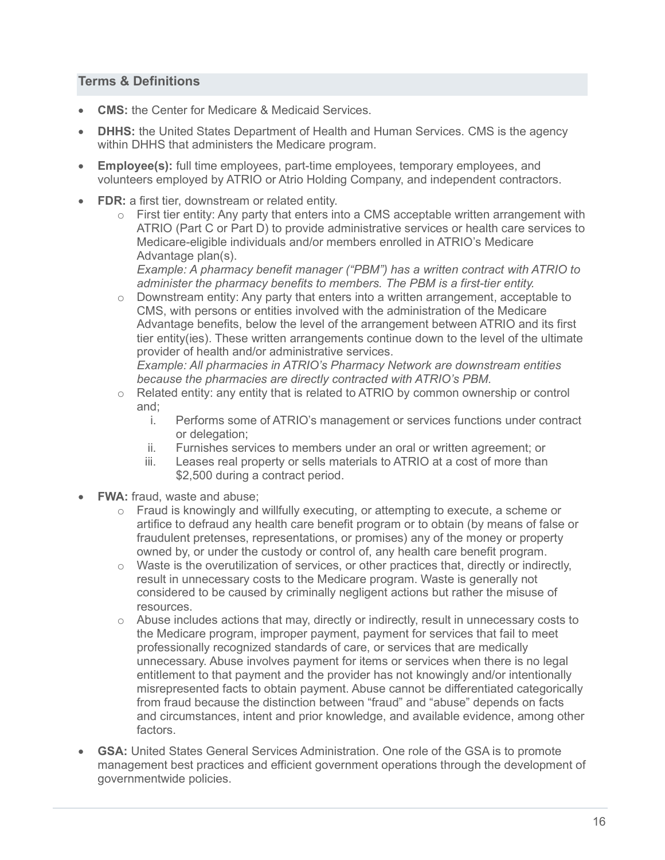## Terms & Definitions

- CMS: the Center for Medicare & Medicaid Services.
- **DHHS:** the United States Department of Health and Human Services. CMS is the agency within DHHS that administers the Medicare program.
- Employee(s): full time employees, part-time employees, temporary employees, and volunteers employed by ATRIO or Atrio Holding Company, and independent contractors.
- FDR: a first tier, downstream or related entity.
	- $\circ$  First tier entity: Any party that enters into a CMS acceptable written arrangement with ATRIO (Part C or Part D) to provide administrative services or health care services to Medicare-eligible individuals and/or members enrolled in ATRIO's Medicare Advantage plan(s).

Example: A pharmacy benefit manager ("PBM") has a written contract with ATRIO to administer the pharmacy benefits to members. The PBM is a first-tier entity.

 $\circ$  Downstream entity: Any party that enters into a written arrangement, acceptable to CMS, with persons or entities involved with the administration of the Medicare Advantage benefits, below the level of the arrangement between ATRIO and its first tier entity(ies). These written arrangements continue down to the level of the ultimate provider of health and/or administrative services.

Example: All pharmacies in ATRIO's Pharmacy Network are downstream entities because the pharmacies are directly contracted with ATRIO's PBM.

- $\circ$  Related entity: any entity that is related to ATRIO by common ownership or control and;
	- i. Performs some of ATRIO's management or services functions under contract or delegation;
	- ii. Furnishes services to members under an oral or written agreement; or
	- iii. Leases real property or sells materials to ATRIO at a cost of more than \$2,500 during a contract period.
- FWA: fraud, waste and abuse;
	- o Fraud is knowingly and willfully executing, or attempting to execute, a scheme or artifice to defraud any health care benefit program or to obtain (by means of false or fraudulent pretenses, representations, or promises) any of the money or property owned by, or under the custody or control of, any health care benefit program.
	- $\circ$  Waste is the overutilization of services, or other practices that, directly or indirectly, result in unnecessary costs to the Medicare program. Waste is generally not considered to be caused by criminally negligent actions but rather the misuse of resources.
	- $\circ$  Abuse includes actions that may, directly or indirectly, result in unnecessary costs to the Medicare program, improper payment, payment for services that fail to meet professionally recognized standards of care, or services that are medically unnecessary. Abuse involves payment for items or services when there is no legal entitlement to that payment and the provider has not knowingly and/or intentionally misrepresented facts to obtain payment. Abuse cannot be differentiated categorically from fraud because the distinction between "fraud" and "abuse" depends on facts and circumstances, intent and prior knowledge, and available evidence, among other factors.
- GSA: United States General Services Administration. One role of the GSA is to promote management best practices and efficient government operations through the development of governmentwide policies.